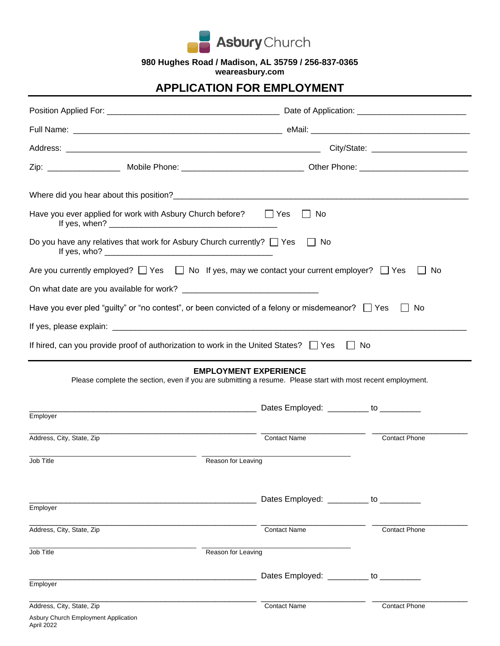

**980 Hughes Road / Madison, AL 35759 / 256-837-0365**

**weareasbury.com**

## **APPLICATION FOR EMPLOYMENT**

| Have you ever applied for work with Asbury Church before? $\Box$ Yes                                                                        | l I No                                 |                      |  |  |  |
|---------------------------------------------------------------------------------------------------------------------------------------------|----------------------------------------|----------------------|--|--|--|
| Do you have any relatives that work for Asbury Church currently? □ Yes □ No                                                                 |                                        |                      |  |  |  |
| Are you currently employed? $\Box$ Yes $\Box$ No If yes, may we contact your current employer? $\Box$ Yes                                   |                                        | No                   |  |  |  |
|                                                                                                                                             |                                        |                      |  |  |  |
| Have you ever pled "guilty" or "no contest", or been convicted of a felony or misdemeanor? $\Box$ Yes                                       |                                        | No                   |  |  |  |
|                                                                                                                                             |                                        |                      |  |  |  |
| If hired, can you provide proof of authorization to work in the United States? $\Box$ Yes $\Box$ No                                         |                                        |                      |  |  |  |
| <b>EMPLOYMENT EXPERIENCE</b><br>Please complete the section, even if you are submitting a resume. Please start with most recent employment. |                                        |                      |  |  |  |
| Employer                                                                                                                                    |                                        |                      |  |  |  |
| Address, City, State, Zip                                                                                                                   | <b>Contact Name</b>                    | <b>Contact Phone</b> |  |  |  |
| Job Title<br>Reason for Leaving                                                                                                             |                                        |                      |  |  |  |
|                                                                                                                                             |                                        |                      |  |  |  |
| Employer                                                                                                                                    | Dates Employed: _________ to _________ |                      |  |  |  |
| Address, City, State, Zip                                                                                                                   | <b>Contact Name</b>                    | <b>Contact Phone</b> |  |  |  |
| Job Title                                                                                                                                   | Reason for Leaving                     |                      |  |  |  |
|                                                                                                                                             | Dates Employed: _________ to _________ |                      |  |  |  |
| Employer                                                                                                                                    |                                        |                      |  |  |  |
| Address, City, State, Zip<br>Asbury Church Employment Application                                                                           | <b>Contact Name</b>                    | <b>Contact Phone</b> |  |  |  |

April 2022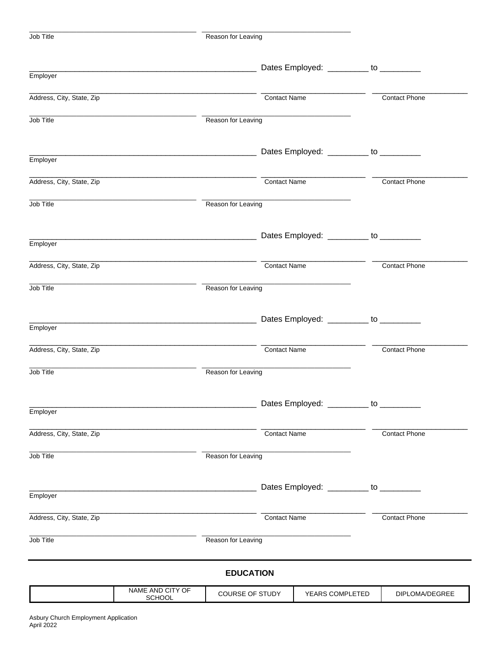| Job Title                 |                                                                   | Reason for Leaving |                     |                                        |           |                      |
|---------------------------|-------------------------------------------------------------------|--------------------|---------------------|----------------------------------------|-----------|----------------------|
|                           |                                                                   |                    |                     | Dates Employed: ________ to ________   |           |                      |
| Employer                  |                                                                   |                    |                     |                                        |           |                      |
| Address, City, State, Zip |                                                                   |                    | <b>Contact Name</b> |                                        |           | <b>Contact Phone</b> |
| Job Title                 |                                                                   | Reason for Leaving |                     |                                        |           |                      |
| Employer                  |                                                                   |                    |                     |                                        |           |                      |
|                           |                                                                   |                    |                     |                                        |           |                      |
| Address, City, State, Zip |                                                                   |                    | <b>Contact Name</b> |                                        |           | <b>Contact Phone</b> |
| Job Title                 |                                                                   | Reason for Leaving |                     |                                        |           |                      |
| Employer                  |                                                                   |                    |                     |                                        |           |                      |
| Address, City, State, Zip |                                                                   |                    | <b>Contact Name</b> |                                        |           | <b>Contact Phone</b> |
| Job Title                 |                                                                   | Reason for Leaving |                     |                                        |           |                      |
| Employer                  | <u> 1989 - Johann John Stone, mars eta biztanleria (h. 1982).</u> |                    |                     | Dates Employed: ________ to ________   |           |                      |
|                           |                                                                   |                    |                     |                                        |           |                      |
| Address, City, State, Zip |                                                                   |                    | <b>Contact Name</b> |                                        |           | <b>Contact Phone</b> |
| Job Title                 |                                                                   | Reason for Leaving |                     |                                        |           |                      |
| Employer                  |                                                                   |                    |                     | Dates Employed: __________             | to $_{-}$ |                      |
| Address, City, State, Zip |                                                                   |                    | <b>Contact Name</b> |                                        |           | <b>Contact Phone</b> |
| Job Title                 |                                                                   | Reason for Leaving |                     |                                        |           |                      |
|                           |                                                                   |                    |                     | Dates Employed: _________ to _________ |           |                      |
| Employer                  |                                                                   |                    |                     |                                        |           |                      |
| Address, City, State, Zip |                                                                   |                    | <b>Contact Name</b> |                                        |           | <b>Contact Phone</b> |
| Job Title                 |                                                                   | Reason for Leaving |                     |                                        |           |                      |
|                           |                                                                   | <b>EDUCATION</b>   |                     |                                        |           |                      |
|                           | NAME AND CITY OF<br>SCHOOL                                        | COURSE OF STUDY    |                     | YEARS COMPLETED                        |           | DIPLOMA/DEGREE       |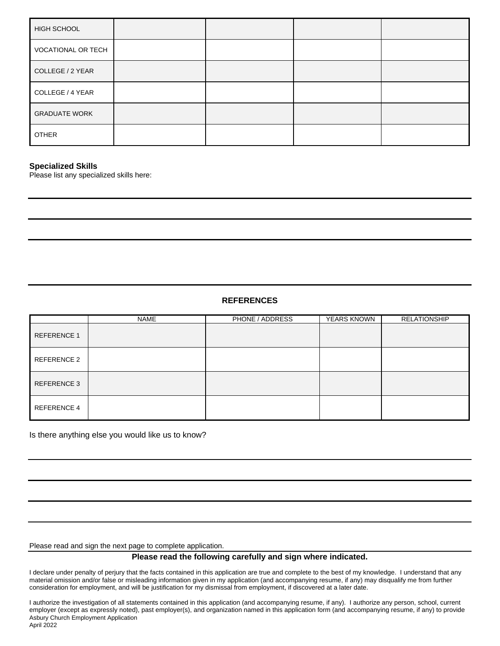| HIGH SCHOOL          |  |  |
|----------------------|--|--|
| VOCATIONAL OR TECH   |  |  |
| COLLEGE / 2 YEAR     |  |  |
| COLLEGE / 4 YEAR     |  |  |
| <b>GRADUATE WORK</b> |  |  |
| <b>OTHER</b>         |  |  |

## **Specialized Skills**

Please list any specialized skills here:

## **REFERENCES**

|                    | NAME | PHONE / ADDRESS | YEARS KNOWN | <b>RELATIONSHIP</b> |
|--------------------|------|-----------------|-------------|---------------------|
| <b>REFERENCE 1</b> |      |                 |             |                     |
| REFERENCE 2        |      |                 |             |                     |
| REFERENCE 3        |      |                 |             |                     |
| REFERENCE 4        |      |                 |             |                     |

Is there anything else you would like us to know?

Please read and sign the next page to complete application.

## **Please read the following carefully and sign where indicated.**

I declare under penalty of perjury that the facts contained in this application are true and complete to the best of my knowledge. I understand that any material omission and/or false or misleading information given in my application (and accompanying resume, if any) may disqualify me from further consideration for employment, and will be justification for my dismissal from employment, if discovered at a later date.

Asbury Church Employment Application April 2022 I authorize the investigation of all statements contained in this application (and accompanying resume, if any). I authorize any person, school, current employer (except as expressly noted), past employer(s), and organization named in this application form (and accompanying resume, if any) to provide